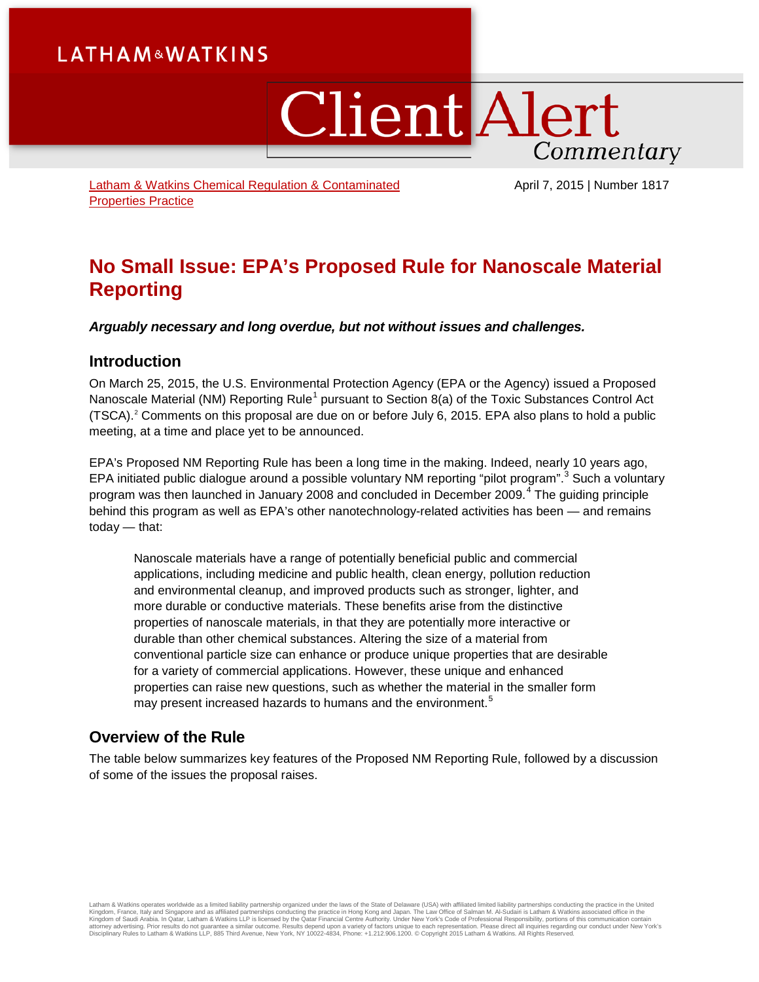# **LATHAM&WATKINS**

ClientAlert Commentary

[Latham & Watkins Chemical Regulation & Contaminated](https://www.lw.com/practices/ChemRedandContaminatedproperty)  [Properties Practice](https://www.lw.com/practices/ChemRedandContaminatedproperty)

April 7, 2015 | Number 1817

# **No Small Issue: EPA's Proposed Rule for Nanoscale Material Reporting**

*Arguably necessary and long overdue, but not without issues and challenges.* 

### **Introduction**

On March 25, 2015, the U.S. Environmental Protection Agency (EPA or the Agency) issued a Proposed Nanoscale Material (NM) Reporting Rule<sup>[1](#page-6-0)</sup> pursuant to Section 8(a) of the Toxic Substances Control Act (TSCA).[2](#page-6-1) Comments on this proposal are due on or before July 6, 2015. EPA also plans to hold a public meeting, at a time and place yet to be announced.

EPA's Proposed NM Reporting Rule has been a long time in the making. Indeed, nearly 10 years ago, EPA initiated public dialogue around a possible voluntary NM reporting "pilot program".<sup>[3](#page-6-2)</sup> Such a voluntary program was then launched in January 2008 and concluded in December 2009. $4$  The guiding principle behind this program as well as EPA's other nanotechnology-related activities has been — and remains today — that:

Nanoscale materials have a range of potentially beneficial public and commercial applications, including medicine and public health, clean energy, pollution reduction and environmental cleanup, and improved products such as stronger, lighter, and more durable or conductive materials. These benefits arise from the distinctive properties of nanoscale materials, in that they are potentially more interactive or durable than other chemical substances. Altering the size of a material from conventional particle size can enhance or produce unique properties that are desirable for a variety of commercial applications. However, these unique and enhanced properties can raise new questions, such as whether the material in the smaller form may present increased hazards to humans and the environment.<sup>[5](#page-6-4)</sup>

### **Overview of the Rule**

The table below summarizes key features of the Proposed NM Reporting Rule, followed by a discussion of some of the issues the proposal raises.

Latham & Watkins operates worldwide as a limited liability partnership organized under the laws of the State of Delaware (USA) with affiliated partnerships conducting the practice in Hong Kong and Japan. The Law Office of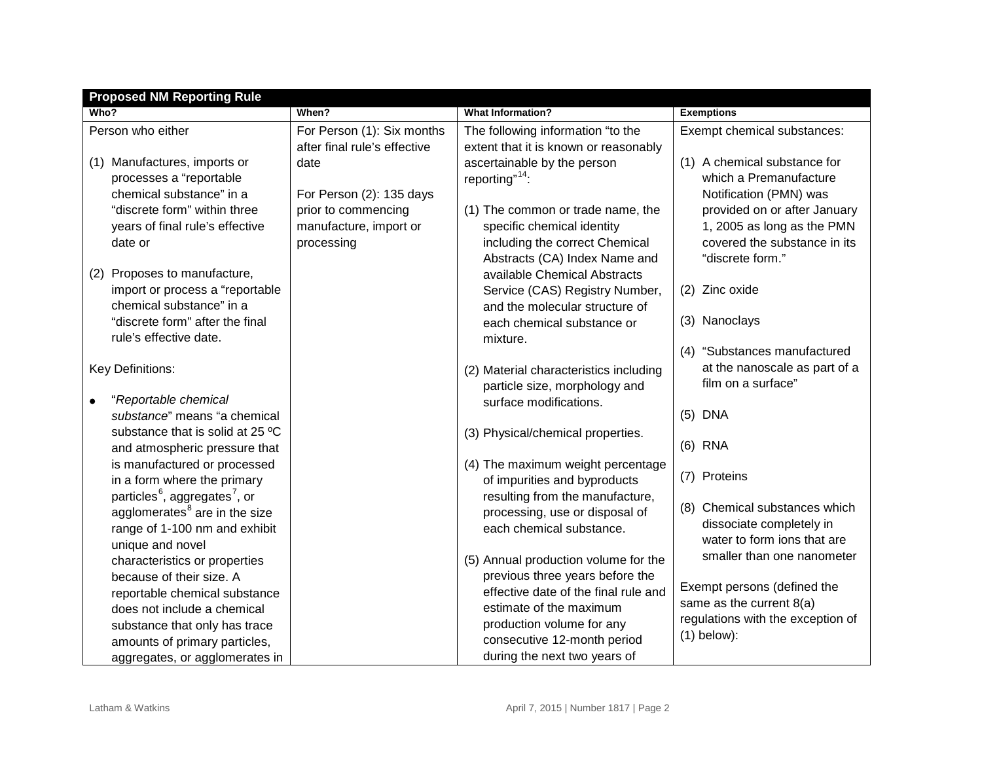| <b>Proposed NM Reporting Rule</b>                     |                              |                                        |                                   |  |  |  |  |  |
|-------------------------------------------------------|------------------------------|----------------------------------------|-----------------------------------|--|--|--|--|--|
| Who?                                                  | When?                        | <b>What Information?</b>               | <b>Exemptions</b>                 |  |  |  |  |  |
| Person who either                                     | For Person (1): Six months   | The following information "to the      | Exempt chemical substances:       |  |  |  |  |  |
|                                                       | after final rule's effective | extent that it is known or reasonably  |                                   |  |  |  |  |  |
| (1) Manufactures, imports or                          | date                         | ascertainable by the person            | (1) A chemical substance for      |  |  |  |  |  |
| processes a "reportable                               |                              | reporting" <sup>14</sup> :             | which a Premanufacture            |  |  |  |  |  |
| chemical substance" in a                              | For Person (2): 135 days     |                                        | Notification (PMN) was            |  |  |  |  |  |
| "discrete form" within three                          | prior to commencing          | (1) The common or trade name, the      | provided on or after January      |  |  |  |  |  |
| years of final rule's effective                       | manufacture, import or       | specific chemical identity             | 1, 2005 as long as the PMN        |  |  |  |  |  |
| date or                                               | processing                   | including the correct Chemical         | covered the substance in its      |  |  |  |  |  |
|                                                       |                              | Abstracts (CA) Index Name and          | "discrete form."                  |  |  |  |  |  |
| Proposes to manufacture,<br>(2)                       |                              | available Chemical Abstracts           |                                   |  |  |  |  |  |
| import or process a "reportable                       |                              | Service (CAS) Registry Number,         | (2) Zinc oxide                    |  |  |  |  |  |
| chemical substance" in a                              |                              | and the molecular structure of         |                                   |  |  |  |  |  |
| "discrete form" after the final                       |                              | each chemical substance or             | (3) Nanoclays                     |  |  |  |  |  |
| rule's effective date.                                |                              | mixture.                               |                                   |  |  |  |  |  |
|                                                       |                              |                                        | (4) "Substances manufactured      |  |  |  |  |  |
| Key Definitions:                                      |                              | (2) Material characteristics including | at the nanoscale as part of a     |  |  |  |  |  |
|                                                       |                              | particle size, morphology and          | film on a surface"                |  |  |  |  |  |
| "Reportable chemical                                  |                              | surface modifications.                 |                                   |  |  |  |  |  |
| substance" means "a chemical                          |                              |                                        | $(5)$ DNA                         |  |  |  |  |  |
| substance that is solid at 25 °C                      |                              | (3) Physical/chemical properties.      | $(6)$ RNA                         |  |  |  |  |  |
| and atmospheric pressure that                         |                              |                                        |                                   |  |  |  |  |  |
| is manufactured or processed                          |                              | (4) The maximum weight percentage      | (7) Proteins                      |  |  |  |  |  |
| in a form where the primary                           |                              | of impurities and byproducts           |                                   |  |  |  |  |  |
| particles <sup>6</sup> , aggregates <sup>7</sup> , or |                              | resulting from the manufacture,        | (8) Chemical substances which     |  |  |  |  |  |
| agglomerates <sup>8</sup> are in the size             |                              | processing, use or disposal of         | dissociate completely in          |  |  |  |  |  |
| range of 1-100 nm and exhibit                         |                              | each chemical substance.               | water to form ions that are       |  |  |  |  |  |
| unique and novel                                      |                              | (5) Annual production volume for the   | smaller than one nanometer        |  |  |  |  |  |
| characteristics or properties                         |                              | previous three years before the        |                                   |  |  |  |  |  |
| because of their size. A                              |                              | effective date of the final rule and   | Exempt persons (defined the       |  |  |  |  |  |
| reportable chemical substance                         |                              | estimate of the maximum                | same as the current $8(a)$        |  |  |  |  |  |
| does not include a chemical                           |                              | production volume for any              | regulations with the exception of |  |  |  |  |  |
| substance that only has trace                         |                              | consecutive 12-month period            | $(1)$ below):                     |  |  |  |  |  |
| amounts of primary particles,                         |                              |                                        |                                   |  |  |  |  |  |
| aggregates, or agglomerates in                        |                              | during the next two years of           |                                   |  |  |  |  |  |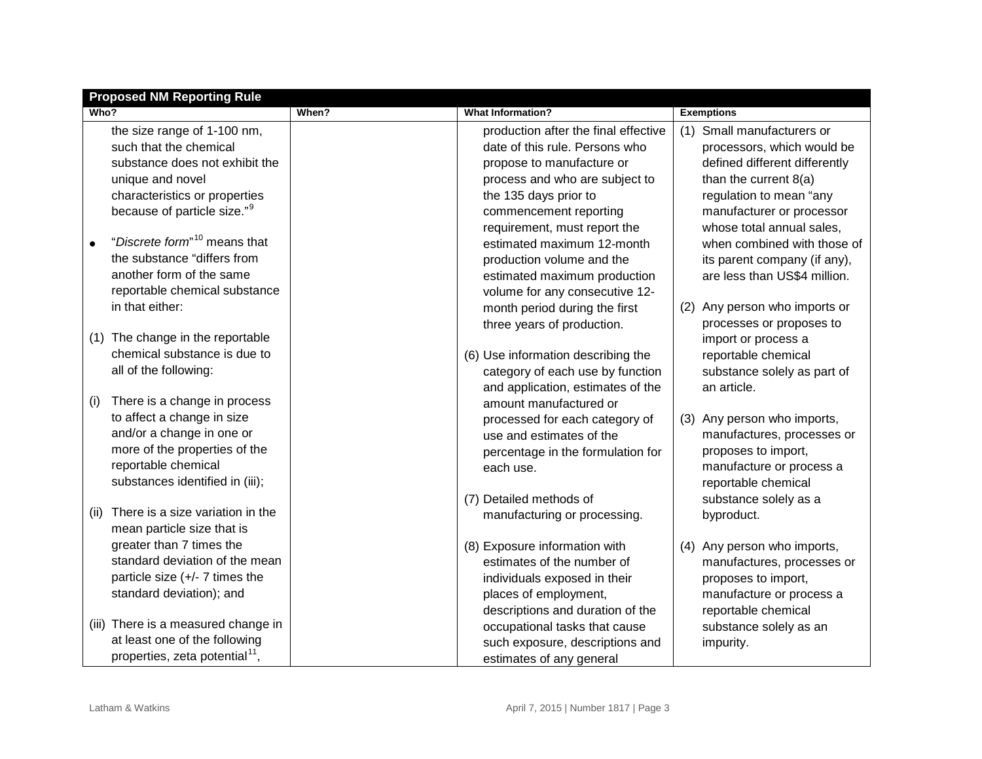|      | <b>Proposed NM Reporting Rule</b>                      |       |                                      |     |                               |  |  |
|------|--------------------------------------------------------|-------|--------------------------------------|-----|-------------------------------|--|--|
| Who? |                                                        | When? | <b>What Information?</b>             |     | <b>Exemptions</b>             |  |  |
|      | the size range of 1-100 nm,                            |       | production after the final effective |     | (1) Small manufacturers or    |  |  |
|      | such that the chemical                                 |       | date of this rule. Persons who       |     | processors, which would be    |  |  |
|      | substance does not exhibit the                         |       | propose to manufacture or            |     | defined different differently |  |  |
|      | unique and novel                                       |       | process and who are subject to       |     | than the current $8(a)$       |  |  |
|      | characteristics or properties                          |       | the 135 days prior to                |     | regulation to mean "any       |  |  |
|      | because of particle size." <sup>9</sup>                |       | commencement reporting               |     | manufacturer or processor     |  |  |
|      |                                                        |       | requirement, must report the         |     | whose total annual sales,     |  |  |
|      | "Discrete form" <sup>10</sup> means that               |       | estimated maximum 12-month           |     | when combined with those of   |  |  |
|      | the substance "differs from                            |       | production volume and the            |     | its parent company (if any),  |  |  |
|      | another form of the same                               |       | estimated maximum production         |     | are less than US\$4 million.  |  |  |
|      | reportable chemical substance                          |       | volume for any consecutive 12-       |     |                               |  |  |
|      | in that either:                                        |       | month period during the first        | (2) | Any person who imports or     |  |  |
|      |                                                        |       | three years of production.           |     | processes or proposes to      |  |  |
|      | (1) The change in the reportable                       |       |                                      |     | import or process a           |  |  |
|      | chemical substance is due to                           |       | (6) Use information describing the   |     | reportable chemical           |  |  |
|      | all of the following:                                  |       | category of each use by function     |     | substance solely as part of   |  |  |
|      |                                                        |       | and application, estimates of the    |     | an article.                   |  |  |
| (i)  | There is a change in process                           |       | amount manufactured or               |     |                               |  |  |
|      | to affect a change in size                             |       | processed for each category of       | (3) | Any person who imports,       |  |  |
|      | and/or a change in one or                              |       | use and estimates of the             |     | manufactures, processes or    |  |  |
|      | more of the properties of the                          |       | percentage in the formulation for    |     | proposes to import,           |  |  |
|      | reportable chemical                                    |       | each use.                            |     | manufacture or process a      |  |  |
|      | substances identified in (iii);                        |       |                                      |     | reportable chemical           |  |  |
|      | There is a size variation in the                       |       | (7) Detailed methods of              |     | substance solely as a         |  |  |
| (11) |                                                        |       | manufacturing or processing.         |     | byproduct.                    |  |  |
|      | mean particle size that is<br>greater than 7 times the |       |                                      |     |                               |  |  |
|      | standard deviation of the mean                         |       | (8) Exposure information with        | (4) | Any person who imports,       |  |  |
|      |                                                        |       | estimates of the number of           |     | manufactures, processes or    |  |  |
|      | particle size (+/- 7 times the                         |       | individuals exposed in their         |     | proposes to import,           |  |  |
|      | standard deviation); and                               |       | places of employment,                |     | manufacture or process a      |  |  |
|      | (iii) There is a measured change in                    |       | descriptions and duration of the     |     | reportable chemical           |  |  |
|      | at least one of the following                          |       | occupational tasks that cause        |     | substance solely as an        |  |  |
|      | properties, zeta potential <sup>11</sup> ,             |       | such exposure, descriptions and      |     | impurity.                     |  |  |
|      |                                                        |       | estimates of any general             |     |                               |  |  |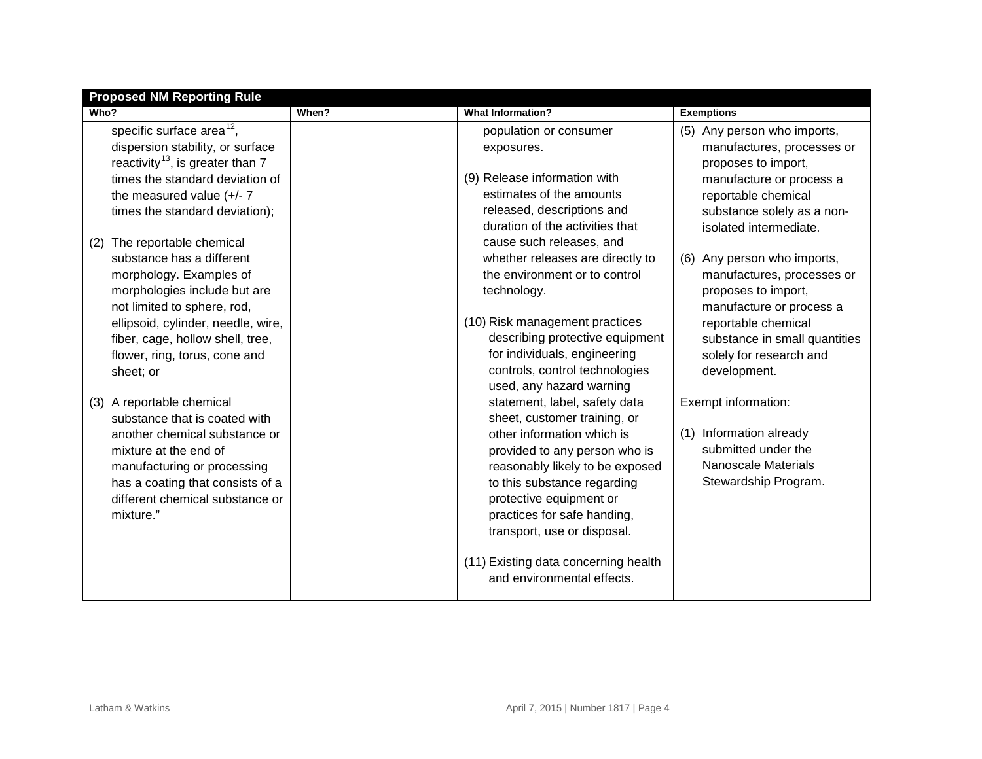| <b>Proposed NM Reporting Rule</b>              |                                   |                                      |                                |  |  |  |  |  |
|------------------------------------------------|-----------------------------------|--------------------------------------|--------------------------------|--|--|--|--|--|
| Who?                                           | When?<br><b>What Information?</b> |                                      | <b>Exemptions</b>              |  |  |  |  |  |
| specific surface area <sup>12</sup> ,          |                                   | population or consumer               | (5) Any person who imports,    |  |  |  |  |  |
| dispersion stability, or surface               |                                   | exposures.                           | manufactures, processes or     |  |  |  |  |  |
| reactivity <sup>13</sup> , is greater than $7$ |                                   |                                      | proposes to import,            |  |  |  |  |  |
| times the standard deviation of                |                                   | (9) Release information with         | manufacture or process a       |  |  |  |  |  |
| the measured value $(+/- 7)$                   |                                   | estimates of the amounts             | reportable chemical            |  |  |  |  |  |
| times the standard deviation);                 |                                   | released, descriptions and           | substance solely as a non-     |  |  |  |  |  |
|                                                |                                   | duration of the activities that      | isolated intermediate.         |  |  |  |  |  |
| The reportable chemical<br>(2)                 |                                   | cause such releases, and             |                                |  |  |  |  |  |
| substance has a different                      |                                   | whether releases are directly to     | Any person who imports,<br>(6) |  |  |  |  |  |
| morphology. Examples of                        |                                   | the environment or to control        | manufactures, processes or     |  |  |  |  |  |
| morphologies include but are                   |                                   | technology.                          | proposes to import,            |  |  |  |  |  |
| not limited to sphere, rod,                    |                                   |                                      | manufacture or process a       |  |  |  |  |  |
| ellipsoid, cylinder, needle, wire,             |                                   | (10) Risk management practices       | reportable chemical            |  |  |  |  |  |
| fiber, cage, hollow shell, tree,               |                                   | describing protective equipment      | substance in small quantities  |  |  |  |  |  |
| flower, ring, torus, cone and                  |                                   | for individuals, engineering         | solely for research and        |  |  |  |  |  |
| sheet; or                                      |                                   | controls, control technologies       | development.                   |  |  |  |  |  |
|                                                |                                   | used, any hazard warning             |                                |  |  |  |  |  |
| A reportable chemical<br>(3)                   |                                   | statement, label, safety data        | Exempt information:            |  |  |  |  |  |
| substance that is coated with                  |                                   | sheet, customer training, or         |                                |  |  |  |  |  |
| another chemical substance or                  |                                   | other information which is           | (1) Information already        |  |  |  |  |  |
| mixture at the end of                          |                                   | provided to any person who is        | submitted under the            |  |  |  |  |  |
| manufacturing or processing                    |                                   | reasonably likely to be exposed      | <b>Nanoscale Materials</b>     |  |  |  |  |  |
| has a coating that consists of a               |                                   | to this substance regarding          | Stewardship Program.           |  |  |  |  |  |
| different chemical substance or                |                                   | protective equipment or              |                                |  |  |  |  |  |
| mixture."                                      |                                   | practices for safe handing,          |                                |  |  |  |  |  |
|                                                |                                   | transport, use or disposal.          |                                |  |  |  |  |  |
|                                                |                                   | (11) Existing data concerning health |                                |  |  |  |  |  |
|                                                |                                   | and environmental effects.           |                                |  |  |  |  |  |
|                                                |                                   |                                      |                                |  |  |  |  |  |
|                                                |                                   |                                      |                                |  |  |  |  |  |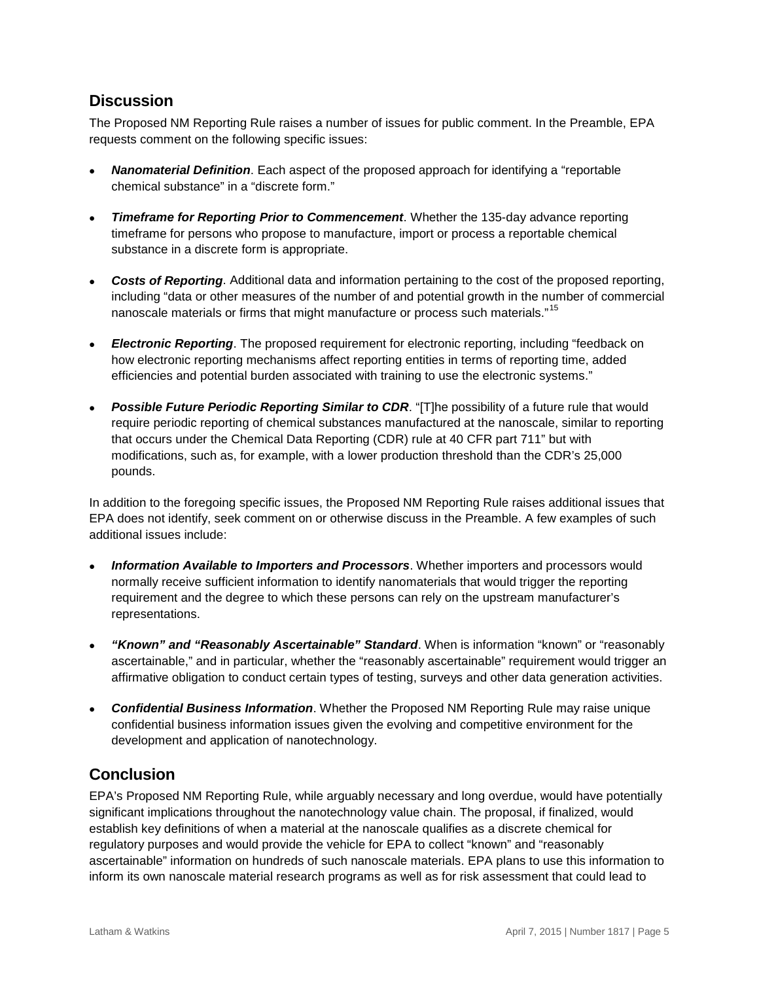## **Discussion**

The Proposed NM Reporting Rule raises a number of issues for public comment. In the Preamble, EPA requests comment on the following specific issues:

- *Nanomaterial Definition*. Each aspect of the proposed approach for identifying a "reportable chemical substance" in a "discrete form."
- *Timeframe for Reporting Prior to Commencement*. Whether the 135-day advance reporting timeframe for persons who propose to manufacture, import or process a reportable chemical substance in a discrete form is appropriate.
- *Costs of Reporting*. Additional data and information pertaining to the cost of the proposed reporting, including "data or other measures of the number of and potential growth in the number of commercial nanoscale materials or firms that might manufacture or process such materials."<sup>[15](#page-6-14)</sup>
- *Electronic Reporting*. The proposed requirement for electronic reporting, including "feedback on how electronic reporting mechanisms affect reporting entities in terms of reporting time, added efficiencies and potential burden associated with training to use the electronic systems."
- *Possible Future Periodic Reporting Similar to CDR*. "[T]he possibility of a future rule that would require periodic reporting of chemical substances manufactured at the nanoscale, similar to reporting that occurs under the Chemical Data Reporting (CDR) rule at 40 CFR part 711" but with modifications, such as, for example, with a lower production threshold than the CDR's 25,000 pounds.

In addition to the foregoing specific issues, the Proposed NM Reporting Rule raises additional issues that EPA does not identify, seek comment on or otherwise discuss in the Preamble. A few examples of such additional issues include:

- *Information Available to Importers and Processors*. Whether importers and processors would normally receive sufficient information to identify nanomaterials that would trigger the reporting requirement and the degree to which these persons can rely on the upstream manufacturer's representations.
- *"Known" and "Reasonably Ascertainable" Standard*. When is information "known" or "reasonably ascertainable," and in particular, whether the "reasonably ascertainable" requirement would trigger an affirmative obligation to conduct certain types of testing, surveys and other data generation activities.
- *Confidential Business Information*. Whether the Proposed NM Reporting Rule may raise unique confidential business information issues given the evolving and competitive environment for the development and application of nanotechnology.

## **Conclusion**

EPA's Proposed NM Reporting Rule, while arguably necessary and long overdue, would have potentially significant implications throughout the nanotechnology value chain. The proposal, if finalized, would establish key definitions of when a material at the nanoscale qualifies as a discrete chemical for regulatory purposes and would provide the vehicle for EPA to collect "known" and "reasonably ascertainable" information on hundreds of such nanoscale materials. EPA plans to use this information to inform its own nanoscale material research programs as well as for risk assessment that could lead to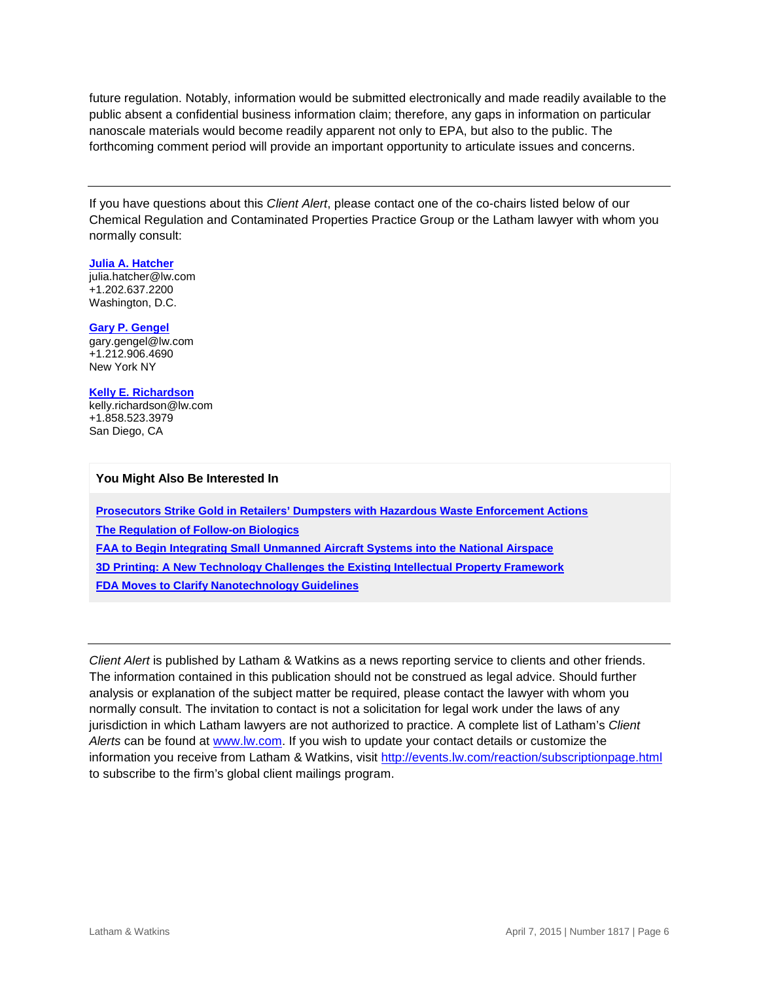future regulation. Notably, information would be submitted electronically and made readily available to the public absent a confidential business information claim; therefore, any gaps in information on particular nanoscale materials would become readily apparent not only to EPA, but also to the public. The forthcoming comment period will provide an important opportunity to articulate issues and concerns.

If you have questions about this *Client Alert*, please contact one of the co-chairs listed below of our Chemical Regulation and Contaminated Properties Practice Group or the Latham lawyer with whom you normally consult:

#### **[Julia A. Hatcher](https://www.lw.com/people/julia-hatcher)**

[julia.hatcher@lw.com](mailto:julia.hatcher@lw.com) +1.202.637.2200 Washington, D.C.

#### **[Gary P. Gengel](http://www.lw.com/people/gary-gengel)**

[gary.gengel@lw.com](mailto:gary.gengel@lw.com) +1.212.906.4690 New York NY

#### **[Kelly E. Richardson](http://www.lw.com/people/kelly-richardson)**

[kelly.richardson@lw.com](mailto:kelly.richardson@lw.com) +1.858.523.3979 San Diego, CA

#### **You Might Also Be Interested In**

**[Prosecutors Strike Gold in Retailers' Dumpsters with Hazardous Waste Enforcement Actions](http://www.lw.com/thoughtLeadership/LW-prosecutors-strike-gold-in-retailers-dumpster-waste-enforcement-actions) [The Regulation of Follow-on Biologics](https://www.lw.com/thoughtLeadership/regulation-of-follow-on-biologics) [FAA to Begin Integrating Small Unmanned Aircraft Systems into the National Airspace](https://www.lw.com/thoughtLeadership/LW-faa-begin-integrating-small-unmanned-aircraft-systems-into-national-airspace)  [3D Printing: A New Technology Challenges the Existing Intellectual Property Framework](https://www.lw.com/thoughtLeadership/three-d-printing-new-technology) [FDA Moves to Clarify Nanotechnology Guidelines](https://www.lw.com/thoughtLeadership/fda-clarifies-nanotechnology-guidelines)**

*Client Alert* is published by Latham & Watkins as a news reporting service to clients and other friends. The information contained in this publication should not be construed as legal advice. Should further analysis or explanation of the subject matter be required, please contact the lawyer with whom you normally consult. The invitation to contact is not a solicitation for legal work under the laws of any jurisdiction in which Latham lawyers are not authorized to practice. A complete list of Latham's *Client Alerts* can be found at [www.lw.com.](http://www.lw.com/) If you wish to update your contact details or customize the information you receive from Latham & Watkins, visit<http://events.lw.com/reaction/subscriptionpage.html> to subscribe to the firm's global client mailings program.